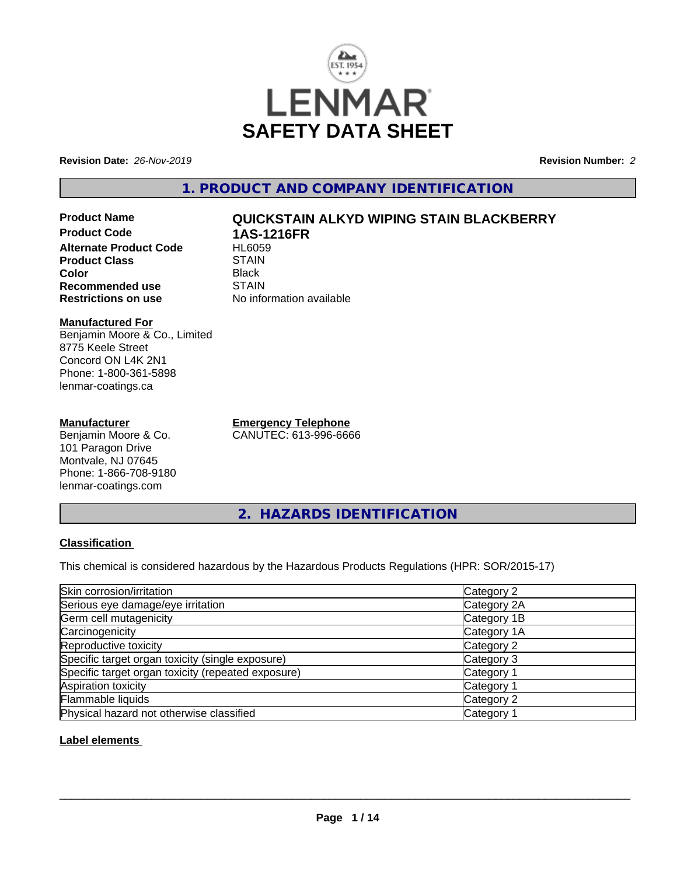

**Revision Date:** *26-Nov-2019* **Revision Number:** *2*

**1. PRODUCT AND COMPANY IDENTIFICATION**

**Product Name QUICKSTAIN ALKYD WIPING STAIN BLACKBERRY Product Code 1AS-1216FR Alternate Product Code Product Class STAIN STAIN**<br> **Color** Black **Color** Black **Recommended use** STAIN<br> **Restrictions on use** No info

#### **Manufactured For** Benjamin Moore & Co., Limited 8775 Keele Street Concord ON L4K 2N1 Phone: 1-800-361-5898 lenmar-coatings.ca

## **Manufacturer**

Benjamin Moore & Co. 101 Paragon Drive Montvale, NJ 07645 Phone: 1-866-708-9180 lenmar-coatings.com

**Emergency Telephone** CANUTEC: 613-996-6666

**Restrictions on use** No information available

**2. HAZARDS IDENTIFICATION**

## **Classification**

This chemical is considered hazardous by the Hazardous Products Regulations (HPR: SOR/2015-17)

| Skin corrosion/irritation                          | Category 2            |
|----------------------------------------------------|-----------------------|
| Serious eye damage/eye irritation                  | Category 2A           |
| Germ cell mutagenicity                             | Category 1B           |
| Carcinogenicity                                    | Category 1A           |
| Reproductive toxicity                              | Category 2            |
| Specific target organ toxicity (single exposure)   | Category 3            |
| Specific target organ toxicity (repeated exposure) | Category 1            |
| Aspiration toxicity                                | Category <sup>2</sup> |
| Flammable liquids                                  | Category 2            |
| Physical hazard not otherwise classified           | Category              |

## **Label elements**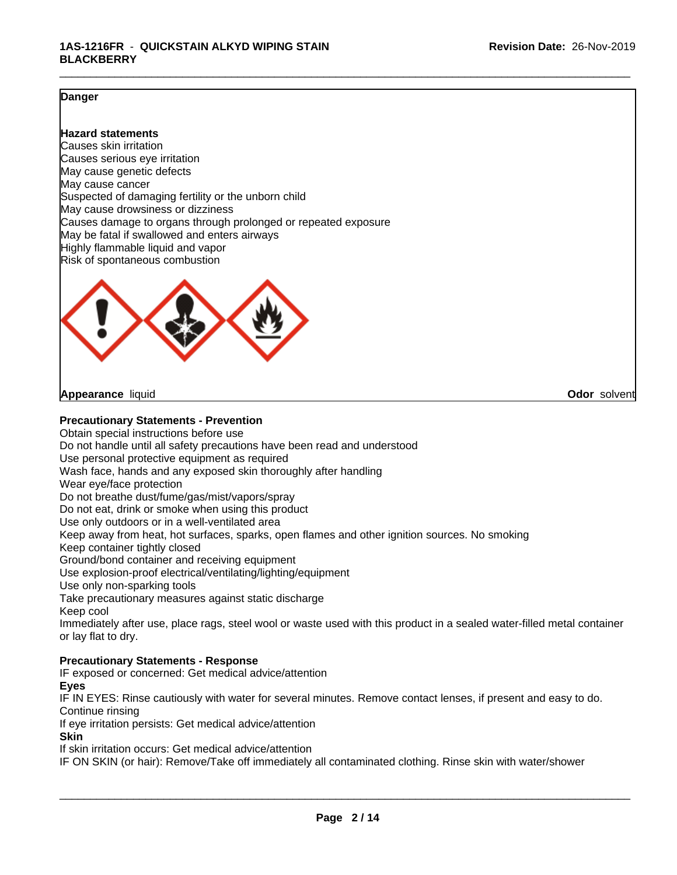## **Danger**

## **Hazard statements**

Causes skin irritation Causes serious eye irritation May cause genetic defects May cause cancer Suspected of damaging fertility or the unborn child May cause drowsiness or dizziness Causes damage to organs through prolonged or repeated exposure May be fatal if swallowed and enters airways Highly flammable liquid and vapor Risk of spontaneous combustion



**Appearance** liquid **Odor** solvent

**Precautionary Statements - Prevention**

Obtain special instructions before use Do not handle until all safety precautions have been read and understood Use personal protective equipment as required Wash face, hands and any exposed skin thoroughly after handling Wear eye/face protection Do not breathe dust/fume/gas/mist/vapors/spray Do not eat, drink or smoke when using this product Use only outdoors or in a well-ventilated area Keep away from heat, hot surfaces, sparks, open flames and other ignition sources. No smoking Keep container tightly closed Ground/bond container and receiving equipment Use explosion-proof electrical/ventilating/lighting/equipment Use only non-sparking tools Take precautionary measures against static discharge Keep cool Immediately after use, place rags, steel wool or waste used with this product in a sealed water-filled metal container or lay flat to dry. **Precautionary Statements - Response**

IF exposed or concerned: Get medical advice/attention

**Eyes**

IF IN EYES: Rinse cautiously with water for several minutes. Remove contact lenses, if present and easy to do. Continue rinsing

If eye irritation persists: Get medical advice/attention

**Skin**

If skin irritation occurs: Get medical advice/attention

IF ON SKIN (or hair): Remove/Take off immediately all contaminated clothing. Rinse skin with water/shower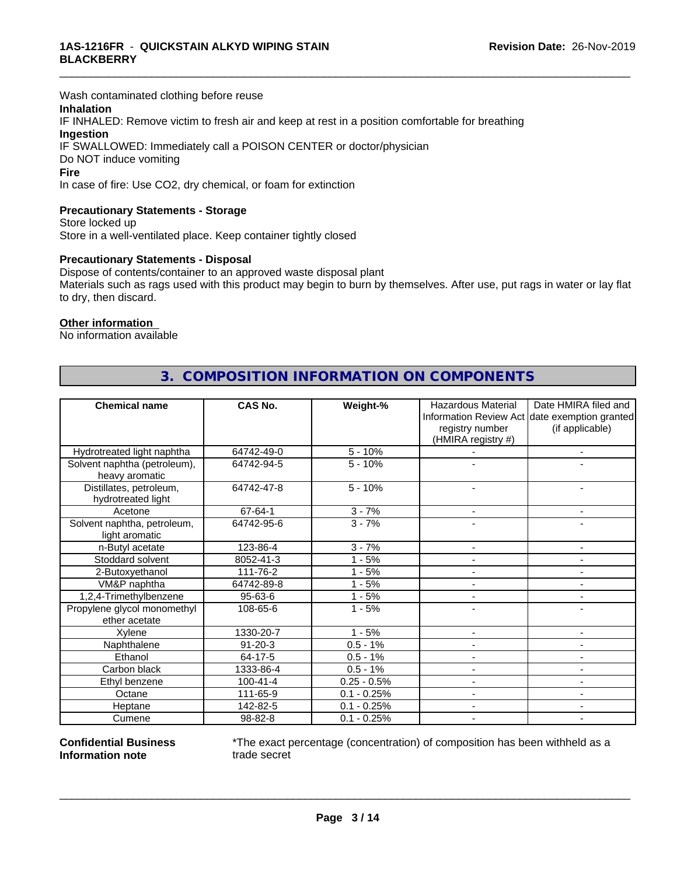Wash contaminated clothing before reuse

## **Inhalation**

IF INHALED: Remove victim to fresh air and keep at rest in a position comfortable for breathing **Ingestion** IF SWALLOWED: Immediately call a POISON CENTER or doctor/physician

Do NOT induce vomiting

#### **Fire**

In case of fire: Use CO2, dry chemical, or foam for extinction

## **Precautionary Statements - Storage**

Store locked up Store in a well-ventilated place. Keep container tightly closed

#### **Precautionary Statements - Disposal**

Dispose of contents/container to an approved waste disposal plant Materials such as rags used with this product may begin to burn by themselves. After use, put rags in water or lay flat to dry, then discard.

\_\_\_\_\_\_\_\_\_\_\_\_\_\_\_\_\_\_\_\_\_\_\_\_\_\_\_\_\_\_\_\_\_\_\_\_\_\_\_\_\_\_\_\_\_\_\_\_\_\_\_\_\_\_\_\_\_\_\_\_\_\_\_\_\_\_\_\_\_\_\_\_\_\_\_\_\_\_\_\_\_\_\_\_\_\_\_\_\_\_\_\_\_

#### **Other information**

No information available

| <b>Chemical name</b>                           | <b>CAS No.</b> | Weight-%      | <b>Hazardous Material</b> | Date HMIRA filed and                          |
|------------------------------------------------|----------------|---------------|---------------------------|-----------------------------------------------|
|                                                |                |               |                           | Information Review Act date exemption granted |
|                                                |                |               | registry number           | (if applicable)                               |
|                                                |                |               | (HMIRA registry #)        |                                               |
| Hydrotreated light naphtha                     | 64742-49-0     | $5 - 10%$     |                           | ۰                                             |
| Solvent naphtha (petroleum),<br>heavy aromatic | 64742-94-5     | $5 - 10%$     |                           |                                               |
| Distillates, petroleum,<br>hydrotreated light  | 64742-47-8     | $5 - 10%$     |                           |                                               |
| Acetone                                        | 67-64-1        | $3 - 7%$      | $\blacksquare$            | $\blacksquare$                                |
| Solvent naphtha, petroleum,<br>light aromatic  | 64742-95-6     | $3 - 7%$      |                           |                                               |
| n-Butyl acetate                                | 123-86-4       | $3 - 7%$      | $\overline{\phantom{a}}$  | $\blacksquare$                                |
| Stoddard solvent                               | 8052-41-3      | $1 - 5%$      |                           |                                               |
| 2-Butoxyethanol                                | 111-76-2       | $1 - 5%$      |                           | $\blacksquare$                                |
| VM&P naphtha                                   | 64742-89-8     | $1 - 5%$      |                           |                                               |
| 1,2,4-Trimethylbenzene                         | 95-63-6        | $1 - 5%$      |                           |                                               |
| Propylene glycol monomethyl<br>ether acetate   | 108-65-6       | $1 - 5%$      |                           |                                               |
| Xylene                                         | 1330-20-7      | $1 - 5%$      |                           | ۰                                             |
| Naphthalene                                    | $91 - 20 - 3$  | $0.5 - 1%$    |                           | $\blacksquare$                                |
| Ethanol                                        | 64-17-5        | $0.5 - 1%$    |                           |                                               |
| Carbon black                                   | 1333-86-4      | $0.5 - 1%$    |                           | ٠                                             |
| Ethyl benzene                                  | $100 - 41 - 4$ | $0.25 - 0.5%$ |                           |                                               |
| Octane                                         | 111-65-9       | $0.1 - 0.25%$ |                           | $\blacksquare$                                |
| Heptane                                        | 142-82-5       | $0.1 - 0.25%$ |                           | ۰                                             |
| Cumene                                         | 98-82-8        | $0.1 - 0.25%$ |                           |                                               |

# **3. COMPOSITION INFORMATION ON COMPONENTS**

**Confidential Business Information note**

\*The exact percentage (concentration) of composition has been withheld as a trade secret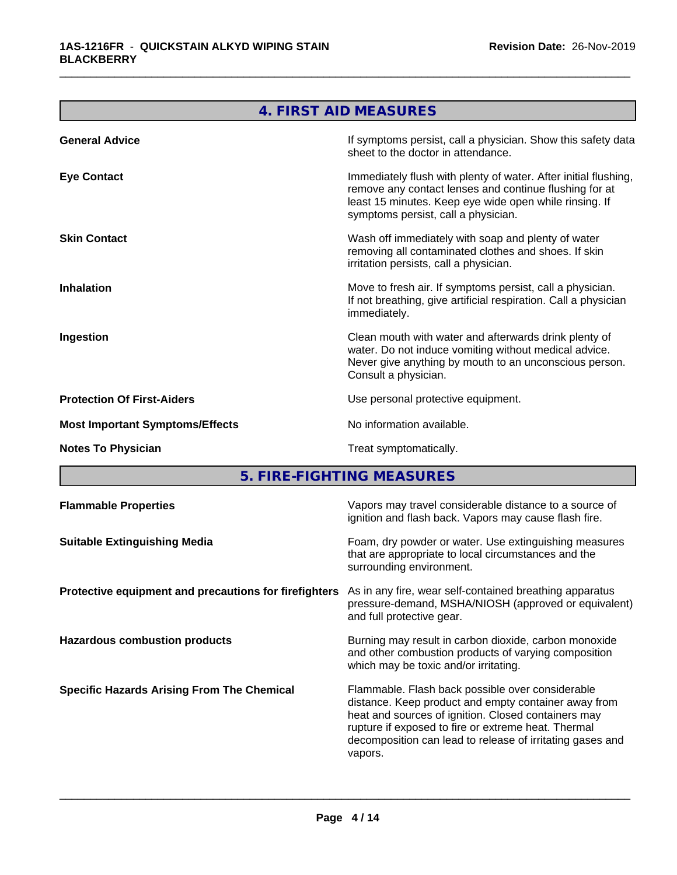|                                        | 4. FIRST AID MEASURES                                                                                                                                                                                                      |
|----------------------------------------|----------------------------------------------------------------------------------------------------------------------------------------------------------------------------------------------------------------------------|
| <b>General Advice</b>                  | If symptoms persist, call a physician. Show this safety data<br>sheet to the doctor in attendance.                                                                                                                         |
| <b>Eye Contact</b>                     | Immediately flush with plenty of water. After initial flushing,<br>remove any contact lenses and continue flushing for at<br>least 15 minutes. Keep eye wide open while rinsing. If<br>symptoms persist, call a physician. |
| <b>Skin Contact</b>                    | Wash off immediately with soap and plenty of water<br>removing all contaminated clothes and shoes. If skin<br>irritation persists, call a physician.                                                                       |
| <b>Inhalation</b>                      | Move to fresh air. If symptoms persist, call a physician.<br>If not breathing, give artificial respiration. Call a physician<br>immediately.                                                                               |
| Ingestion                              | Clean mouth with water and afterwards drink plenty of<br>water. Do not induce vomiting without medical advice.<br>Never give anything by mouth to an unconscious person.<br>Consult a physician.                           |
| <b>Protection Of First-Aiders</b>      | Use personal protective equipment.                                                                                                                                                                                         |
| <b>Most Important Symptoms/Effects</b> | No information available.                                                                                                                                                                                                  |
| <b>Notes To Physician</b>              | Treat symptomatically.                                                                                                                                                                                                     |
| 5.                                     | FIRE-FIGHTING MEASURES                                                                                                                                                                                                     |

**5. FIRE-FIGHTING MEASURES** 

| <b>Flammable Properties</b>                           | Vapors may travel considerable distance to a source of<br>ignition and flash back. Vapors may cause flash fire.                                                                                                                                                                                |
|-------------------------------------------------------|------------------------------------------------------------------------------------------------------------------------------------------------------------------------------------------------------------------------------------------------------------------------------------------------|
| <b>Suitable Extinguishing Media</b>                   | Foam, dry powder or water. Use extinguishing measures<br>that are appropriate to local circumstances and the<br>surrounding environment.                                                                                                                                                       |
| Protective equipment and precautions for firefighters | As in any fire, wear self-contained breathing apparatus<br>pressure-demand, MSHA/NIOSH (approved or equivalent)<br>and full protective gear.                                                                                                                                                   |
| <b>Hazardous combustion products</b>                  | Burning may result in carbon dioxide, carbon monoxide<br>and other combustion products of varying composition<br>which may be toxic and/or irritating.                                                                                                                                         |
| <b>Specific Hazards Arising From The Chemical</b>     | Flammable. Flash back possible over considerable<br>distance. Keep product and empty container away from<br>heat and sources of ignition. Closed containers may<br>rupture if exposed to fire or extreme heat. Thermal<br>decomposition can lead to release of irritating gases and<br>vapors. |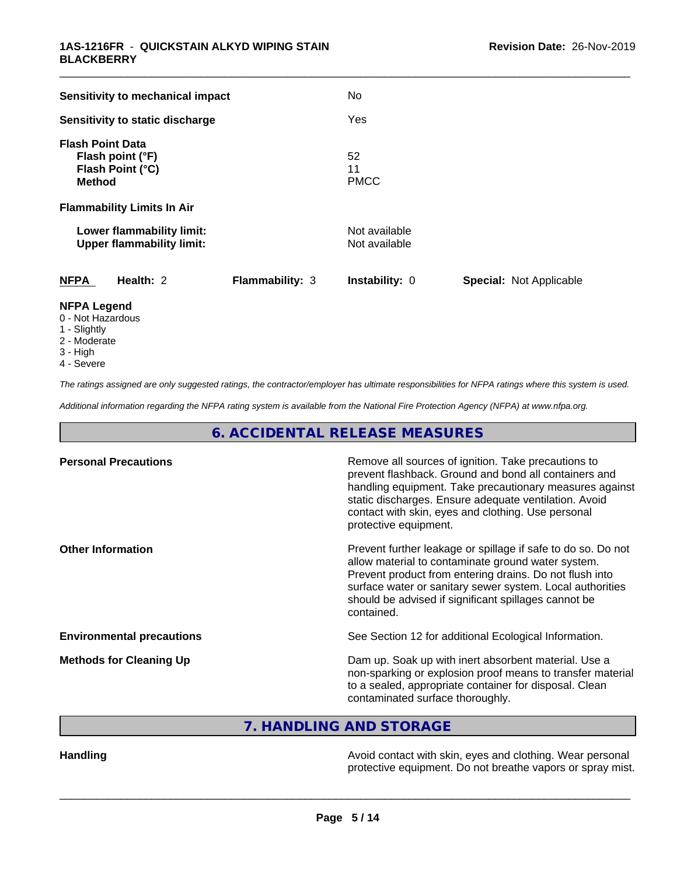| Sensitivity to mechanical impact                                                 |                        | <b>No</b>                      |                         |
|----------------------------------------------------------------------------------|------------------------|--------------------------------|-------------------------|
| Sensitivity to static discharge                                                  |                        | Yes                            |                         |
| <b>Flash Point Data</b><br>Flash point (°F)<br>Flash Point (°C)<br><b>Method</b> |                        | 52<br>11<br><b>PMCC</b>        |                         |
| <b>Flammability Limits In Air</b>                                                |                        |                                |                         |
| Lower flammability limit:<br><b>Upper flammability limit:</b>                    |                        | Not available<br>Not available |                         |
| <b>NFPA</b><br>Health: 2                                                         | <b>Flammability: 3</b> | Instability: 0                 | Special: Not Applicable |
| <b>NFPA Legend</b><br>0 - Not Hazardous<br>$\sim$ $\sim$ $\sim$ $\sim$           |                        |                                |                         |

- 1 Slightly
- 2 Moderate
- 3 High
- 4 Severe

*The ratings assigned are only suggested ratings, the contractor/employer has ultimate responsibilities for NFPA ratings where this system is used.*

*Additional information regarding the NFPA rating system is available from the National Fire Protection Agency (NFPA) at www.nfpa.org.*

**6. ACCIDENTAL RELEASE MEASURES**

| <b>Personal Precautions</b>      | Remove all sources of ignition. Take precautions to<br>prevent flashback. Ground and bond all containers and<br>handling equipment. Take precautionary measures against<br>static discharges. Ensure adequate ventilation. Avoid<br>contact with skin, eyes and clothing. Use personal<br>protective equipment.  |
|----------------------------------|------------------------------------------------------------------------------------------------------------------------------------------------------------------------------------------------------------------------------------------------------------------------------------------------------------------|
| <b>Other Information</b>         | Prevent further leakage or spillage if safe to do so. Do not<br>allow material to contaminate ground water system.<br>Prevent product from entering drains. Do not flush into<br>surface water or sanitary sewer system. Local authorities<br>should be advised if significant spillages cannot be<br>contained. |
| <b>Environmental precautions</b> | See Section 12 for additional Ecological Information.                                                                                                                                                                                                                                                            |
| <b>Methods for Cleaning Up</b>   | Dam up. Soak up with inert absorbent material. Use a<br>non-sparking or explosion proof means to transfer material<br>to a sealed, appropriate container for disposal. Clean<br>contaminated surface thoroughly.                                                                                                 |

**7. HANDLING AND STORAGE**

Handling **Handling Handling Avoid contact with skin, eyes and clothing. Wear personal** protective equipment. Do not breathe vapors or spray mist.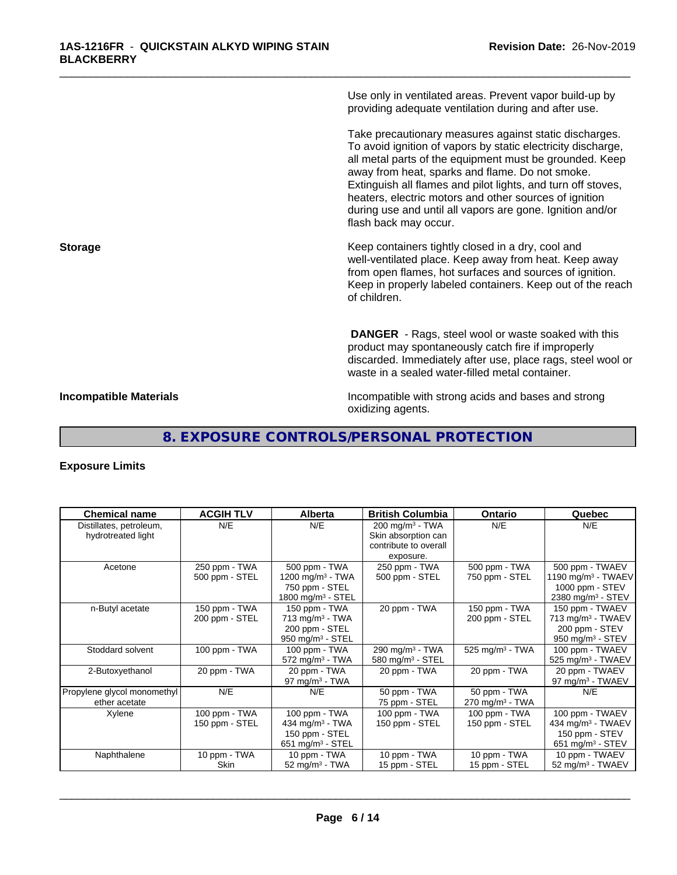Use only in ventilated areas. Prevent vapor build-up by providing adequate ventilation during and after use.

\_\_\_\_\_\_\_\_\_\_\_\_\_\_\_\_\_\_\_\_\_\_\_\_\_\_\_\_\_\_\_\_\_\_\_\_\_\_\_\_\_\_\_\_\_\_\_\_\_\_\_\_\_\_\_\_\_\_\_\_\_\_\_\_\_\_\_\_\_\_\_\_\_\_\_\_\_\_\_\_\_\_\_\_\_\_\_\_\_\_\_\_\_

Take precautionary measures against static discharges. To avoid ignition of vapors by static electricity discharge, all metal parts of the equipment must be grounded. Keep away from heat, sparks and flame. Do not smoke. Extinguish all flames and pilot lights, and turn off stoves, heaters, electric motors and other sources of ignition during use and until all vapors are gone. Ignition and/or flash back may occur.

**Storage Keep containers tightly closed in a dry, cool and get a dry and storage Keep containers tightly closed in a dry, cool and** well-ventilated place. Keep away from heat. Keep away from open flames, hot surfaces and sources of ignition. Keep in properly labeled containers. Keep out of the reach of children.

> **DANGER** - Rags, steel wool or waste soaked with this product may spontaneously catch fire if improperly discarded. Immediately after use, place rags, steel wool or waste in a sealed water-filled metal container.

**Incompatible Materials Incompatible with strong acids and bases and strong** oxidizing agents.

# **8. EXPOSURE CONTROLS/PERSONAL PROTECTION**

## **Exposure Limits**

| <b>Chemical name</b>                          | <b>ACGIH TLV</b> | <b>Alberta</b>                | <b>British Columbia</b>                            | <b>Ontario</b>                | Quebec                         |
|-----------------------------------------------|------------------|-------------------------------|----------------------------------------------------|-------------------------------|--------------------------------|
| Distillates, petroleum,<br>hydrotreated light | N/E              | N/E                           | 200 mg/m <sup>3</sup> - TWA<br>Skin absorption can | N/E                           | N/E                            |
|                                               |                  |                               | contribute to overall                              |                               |                                |
|                                               |                  |                               | exposure.                                          |                               |                                |
| Acetone                                       | 250 ppm - TWA    | 500 ppm - TWA                 | 250 ppm - TWA                                      | 500 ppm - TWA                 | 500 ppm - TWAEV                |
|                                               | 500 ppm - STEL   | 1200 mg/m $3$ - TWA           | 500 ppm - STEL                                     | 750 ppm - STEL                | 1190 mg/m <sup>3</sup> - TWAEV |
|                                               |                  | 750 ppm - STEL                |                                                    |                               | 1000 ppm $-$ STEV              |
|                                               |                  | 1800 mg/m <sup>3</sup> - STEL |                                                    |                               | 2380 mg/m <sup>3</sup> - STEV  |
| n-Butyl acetate                               | 150 ppm - TWA    | 150 ppm - TWA                 | 20 ppm - TWA                                       | 150 ppm - TWA                 | 150 ppm - TWAEV                |
|                                               | 200 ppm - STEL   | $713$ mg/m <sup>3</sup> - TWA |                                                    | 200 ppm - STEL                | 713 mg/m <sup>3</sup> - TWAEV  |
|                                               |                  | 200 ppm - STEL                |                                                    |                               | 200 ppm - STEV                 |
|                                               |                  | 950 mg/m <sup>3</sup> - STEL  |                                                    |                               | 950 mg/m <sup>3</sup> - STEV   |
| Stoddard solvent                              | 100 ppm - TWA    | 100 ppm - TWA                 | 290 mg/m <sup>3</sup> - TWA                        | $525$ mg/m <sup>3</sup> - TWA | 100 ppm - TWAEV                |
|                                               |                  | $572$ mg/m <sup>3</sup> - TWA | 580 mg/m <sup>3</sup> - STEL                       |                               | 525 mg/m <sup>3</sup> - TWAEV  |
| 2-Butoxyethanol                               | 20 ppm - TWA     | 20 ppm - TWA                  | 20 ppm - TWA                                       | 20 ppm - TWA                  | 20 ppm - TWAEV                 |
|                                               |                  | 97 mg/m $3$ - TWA             |                                                    |                               | 97 mg/m <sup>3</sup> - TWAEV   |
| Propylene glycol monomethyl                   | N/E              | N/E                           | 50 ppm - TWA                                       | 50 ppm - TWA                  | N/E                            |
| ether acetate                                 |                  |                               | 75 ppm - STEL                                      | $270$ mg/m <sup>3</sup> - TWA |                                |
| Xylene                                        | 100 ppm - TWA    | 100 ppm - TWA                 | 100 ppm - TWA                                      | 100 ppm - TWA                 | 100 ppm - TWAEV                |
|                                               | 150 ppm - STEL   | 434 mg/m $3$ - TWA            | 150 ppm - STEL                                     | 150 ppm - STEL                | 434 mg/m <sup>3</sup> - TWAEV  |
|                                               |                  | 150 ppm - STEL                |                                                    |                               | 150 ppm - STEV                 |
|                                               |                  | 651 mg/m $3 -$ STEL           |                                                    |                               | 651 mg/m <sup>3</sup> - STEV   |
| Naphthalene                                   | 10 ppm - $TWA$   | 10 ppm - TWA                  | 10 ppm - TWA                                       | 10 ppm - TWA                  | 10 ppm - TWAEV                 |
|                                               | Skin             | 52 mg/m <sup>3</sup> - TWA    | 15 ppm - STEL                                      | 15 ppm - STEL                 | $52 \text{ mg/m}^3$ - TWAEV    |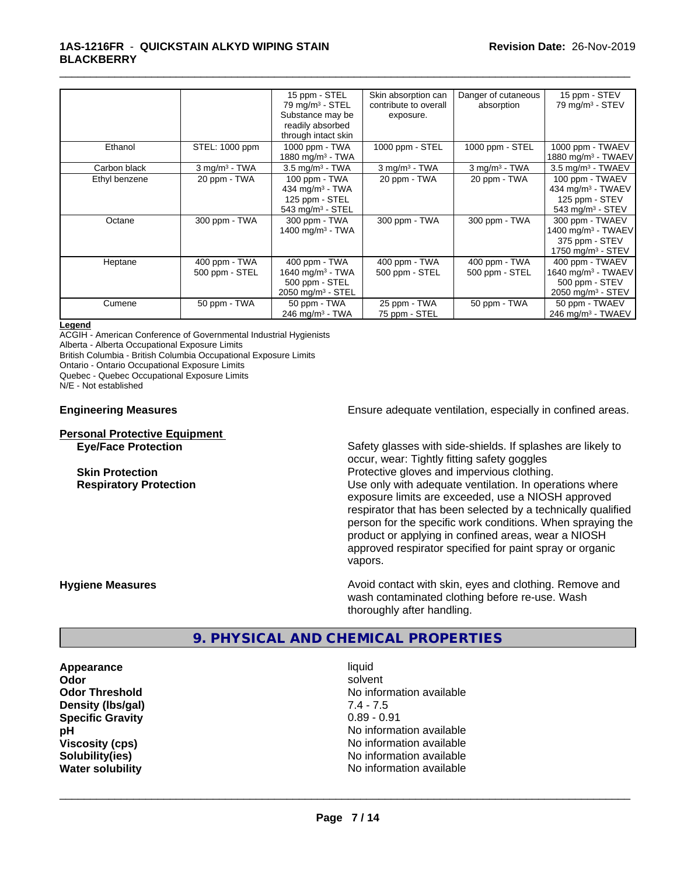|               |                                 | 15 ppm - STEL<br>$79$ mg/m <sup>3</sup> - STEL                                                     | Skin absorption can<br>contribute to overall | Danger of cutaneous<br>absorption | 15 ppm - STEV<br>$79$ mg/m <sup>3</sup> - STEV                                                       |
|---------------|---------------------------------|----------------------------------------------------------------------------------------------------|----------------------------------------------|-----------------------------------|------------------------------------------------------------------------------------------------------|
|               |                                 | Substance may be<br>readily absorbed<br>through intact skin                                        | exposure.                                    |                                   |                                                                                                      |
| Ethanol       | STEL: 1000 ppm                  | 1000 ppm - TWA<br>1880 mg/m <sup>3</sup> - TWA                                                     | 1000 ppm - STEL                              | 1000 ppm - STEL                   | 1000 ppm - TWAEV<br>1880 mg/m $3$ - TWAEV                                                            |
| Carbon black  | $3$ mg/m <sup>3</sup> - TWA     | $3.5 \text{ mg/m}^3$ - TWA                                                                         | $3$ mg/m $3$ - TWA                           | $3$ mg/m <sup>3</sup> - TWA       | $3.5 \text{ mg/m}^3$ - TWAEV                                                                         |
| Ethyl benzene | 20 ppm - TWA                    | 100 ppm - TWA<br>434 mg/m $3 - TWA$<br>125 ppm - STEL<br>543 mg/m $3 -$ STEL                       | 20 ppm - TWA                                 | 20 ppm - TWA                      | 100 ppm - TWAEV<br>434 mg/m <sup>3</sup> - TWAEV<br>125 ppm - STEV<br>543 mg/m $3 -$ STEV            |
| Octane        | 300 ppm - TWA                   | 300 ppm - TWA<br>1400 mg/m <sup>3</sup> - TWA                                                      | 300 ppm - TWA                                | 300 ppm - TWA                     | 300 ppm - TWAEV<br>1400 mg/m <sup>3</sup> - TWAEV<br>375 ppm - STEV<br>1750 mg/m <sup>3</sup> - STEV |
| Heptane       | 400 ppm - TWA<br>500 ppm - STEL | 400 ppm - TWA<br>1640 mg/m <sup>3</sup> - TWA<br>500 ppm - STEL<br>$2050$ mg/m <sup>3</sup> - STEL | 400 ppm - TWA<br>500 ppm - STEL              | 400 ppm - TWA<br>500 ppm - STEL   | 400 ppm - TWAEV<br>1640 mg/m <sup>3</sup> - TWAEV<br>500 ppm - STEV<br>2050 mg/m <sup>3</sup> - STEV |
| Cumene        | 50 ppm - TWA                    | 50 ppm - TWA<br>246 mg/m $3$ - TWA                                                                 | 25 ppm - TWA<br>75 ppm - STEL                | 50 ppm - $T\overline{WA}$         | 50 ppm - TWAEV<br>246 mg/m <sup>3</sup> - TWAEV                                                      |

#### **Legend**

ACGIH - American Conference of Governmental Industrial Hygienists

Alberta - Alberta Occupational Exposure Limits

British Columbia - British Columbia Occupational Exposure Limits

Ontario - Ontario Occupational Exposure Limits

Quebec - Quebec Occupational Exposure Limits

N/E - Not established

#### **Personal Protective Equipment**

**Engineering Measures Ensure** Ensure adequate ventilation, especially in confined areas.

**Eye/Face Protection** Safety glasses with side-shields. If splashes are likely to occur, wear: Tightly fitting safety goggles **Skin Protection Protection Protective gloves and impervious clothing. Respiratory Protection Number 1** (Use only with adequate ventilation. In operations where exposure limits are exceeded, use a NIOSH approved respirator that has been selected by a technically qualified person for the specific work conditions. When spraying the product or applying in confined areas, wear a NIOSH approved respirator specified for paint spray or organic vapors.

**Hygiene Measures Avoid contact with skin, eyes and clothing. Remove and Hygiene Measures Avoid contact with skin, eyes and clothing. Remove and** wash contaminated clothing before re-use. Wash thoroughly after handling.

## **9. PHYSICAL AND CHEMICAL PROPERTIES**

**Appearance** liquid **Density (lbs/gal) Specific Gravity** 0.89 - 0.91

**Odor** solvent **Odor Threshold**<br> **Density (Ibs/gal)**<br> **Density (Ibs/gal)**<br> **No information available**<br>  $7.4 - 7.5$ **pH** No information available **Viscosity (cps)** No information available **Solubility(ies)** No information available **Water solubility** No information available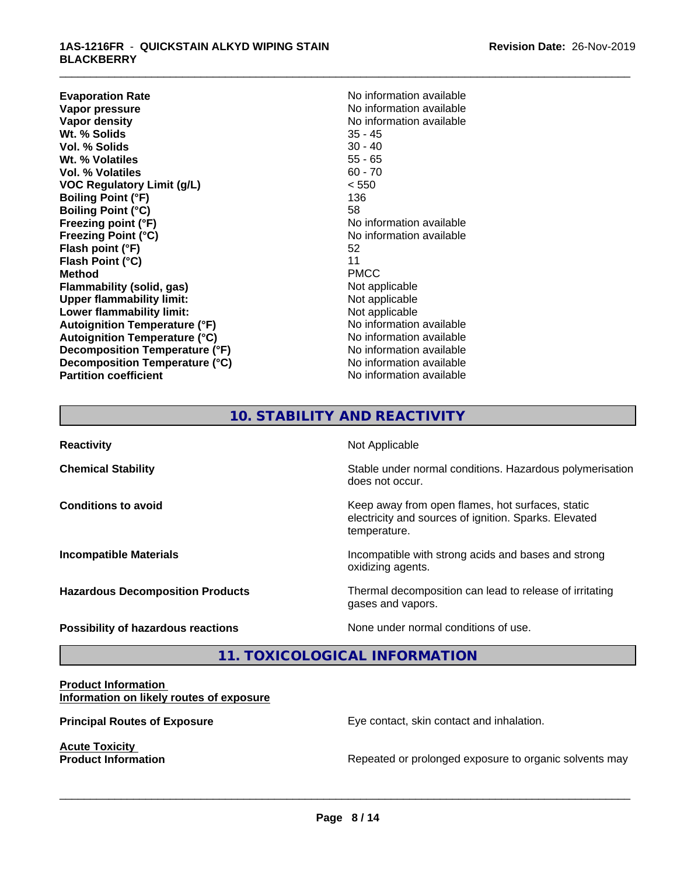**Evaporation Rate No information available**<br> **Vapor pressure No information available**<br>
No information available **Vapor pressure**<br> **Vapor density**<br> **Vapor density**<br> **Vapor density**<br> **Vapor density Wt. % Solids** 35 - 45 **Vol. % Solids** 30 - 40<br> **Wt. % Volatiles** 35 - 65 **Wt. % Volatiles Vol. % Volatiles** 60 - 70 **VOC Regulatory Limit (g/L)** < 550 **Boiling Point (°F)** 136 **Boiling Point (°C)** 58 **Freezing point (°F)** No information available **Freezing Point (°C)** No information available **Flash point (°F)** 52<br> **Flash Point (°C)** 51 **Flash Point (°C)** 11<br> **Method** PMCC **Method** PMCC **Flammability (solid, gas)** Not applicable<br>
Upper flammability limit:<br>
Not applicable **Upper flammability limit: Lower flammability limit:** Not applicable **Autoignition Temperature (°F)**<br> **Autoignition Temperature (°C)** No information available **Autoignition Temperature (°C) Decomposition Temperature (°F)** No information available **Decomposition Temperature (°C)**<br> **Partition coefficient**<br> **Partition coefficient**<br> **No** information available

**No information available No information available** 

\_\_\_\_\_\_\_\_\_\_\_\_\_\_\_\_\_\_\_\_\_\_\_\_\_\_\_\_\_\_\_\_\_\_\_\_\_\_\_\_\_\_\_\_\_\_\_\_\_\_\_\_\_\_\_\_\_\_\_\_\_\_\_\_\_\_\_\_\_\_\_\_\_\_\_\_\_\_\_\_\_\_\_\_\_\_\_\_\_\_\_\_\_

# **10. STABILITY AND REACTIVITY**

| <b>Reactivity</b>                         | Not Applicable                                                                                                            |
|-------------------------------------------|---------------------------------------------------------------------------------------------------------------------------|
| <b>Chemical Stability</b>                 | Stable under normal conditions. Hazardous polymerisation<br>does not occur.                                               |
| <b>Conditions to avoid</b>                | Keep away from open flames, hot surfaces, static<br>electricity and sources of ignition. Sparks. Elevated<br>temperature. |
| <b>Incompatible Materials</b>             | Incompatible with strong acids and bases and strong<br>oxidizing agents.                                                  |
| <b>Hazardous Decomposition Products</b>   | Thermal decomposition can lead to release of irritating<br>gases and vapors.                                              |
| <b>Possibility of hazardous reactions</b> | None under normal conditions of use.                                                                                      |

**11. TOXICOLOGICAL INFORMATION**

#### **Product Information Information on likely routes of exposure**

**Acute Toxicity<br>Product Information** 

**Principal Routes of Exposure Exposure** Eye contact, skin contact and inhalation.

 $\overline{\phantom{a}}$  ,  $\overline{\phantom{a}}$  ,  $\overline{\phantom{a}}$  ,  $\overline{\phantom{a}}$  ,  $\overline{\phantom{a}}$  ,  $\overline{\phantom{a}}$  ,  $\overline{\phantom{a}}$  ,  $\overline{\phantom{a}}$  ,  $\overline{\phantom{a}}$  ,  $\overline{\phantom{a}}$  ,  $\overline{\phantom{a}}$  ,  $\overline{\phantom{a}}$  ,  $\overline{\phantom{a}}$  ,  $\overline{\phantom{a}}$  ,  $\overline{\phantom{a}}$  ,  $\overline{\phantom{a}}$ 

Repeated or prolonged exposure to organic solvents may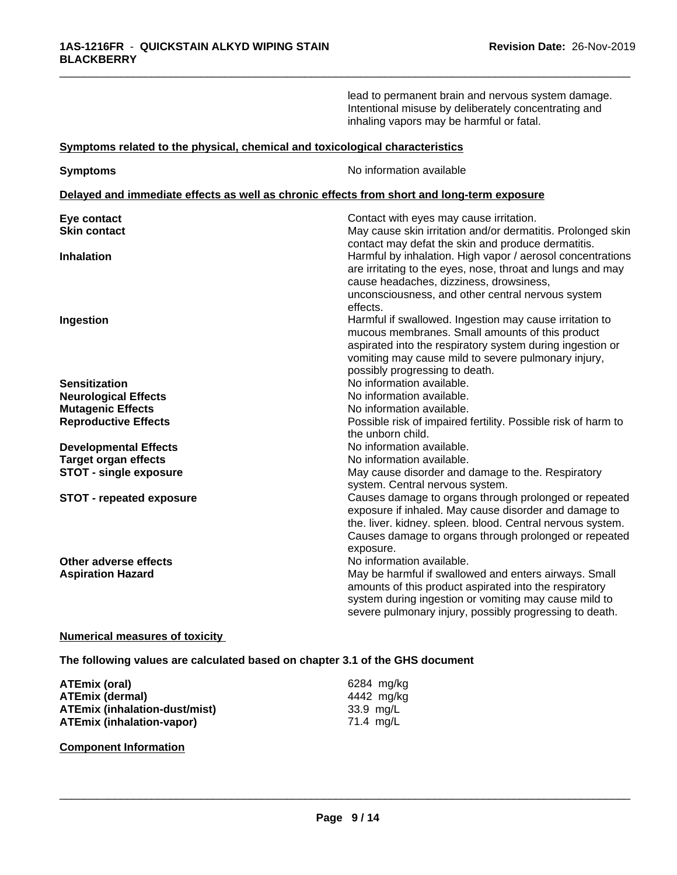|                                                                                            | lead to permanent brain and nervous system damage.<br>Intentional misuse by deliberately concentrating and<br>inhaling vapors may be harmful or fatal.                                                                                                                       |
|--------------------------------------------------------------------------------------------|------------------------------------------------------------------------------------------------------------------------------------------------------------------------------------------------------------------------------------------------------------------------------|
| Symptoms related to the physical, chemical and toxicological characteristics               |                                                                                                                                                                                                                                                                              |
| <b>Symptoms</b>                                                                            | No information available                                                                                                                                                                                                                                                     |
| Delayed and immediate effects as well as chronic effects from short and long-term exposure |                                                                                                                                                                                                                                                                              |
| Eye contact                                                                                | Contact with eyes may cause irritation.                                                                                                                                                                                                                                      |
| <b>Skin contact</b>                                                                        | May cause skin irritation and/or dermatitis. Prolonged skin<br>contact may defat the skin and produce dermatitis.                                                                                                                                                            |
| <b>Inhalation</b>                                                                          | Harmful by inhalation. High vapor / aerosol concentrations<br>are irritating to the eyes, nose, throat and lungs and may<br>cause headaches, dizziness, drowsiness,<br>unconsciousness, and other central nervous system                                                     |
| Ingestion                                                                                  | effects.<br>Harmful if swallowed. Ingestion may cause irritation to<br>mucous membranes. Small amounts of this product<br>aspirated into the respiratory system during ingestion or<br>vomiting may cause mild to severe pulmonary injury,<br>possibly progressing to death. |
| <b>Sensitization</b>                                                                       | No information available.                                                                                                                                                                                                                                                    |
| <b>Neurological Effects</b>                                                                | No information available.                                                                                                                                                                                                                                                    |
| <b>Mutagenic Effects</b>                                                                   | No information available.                                                                                                                                                                                                                                                    |
| <b>Reproductive Effects</b>                                                                | Possible risk of impaired fertility. Possible risk of harm to<br>the unborn child.                                                                                                                                                                                           |
| <b>Developmental Effects</b>                                                               | No information available.                                                                                                                                                                                                                                                    |
| <b>Target organ effects</b>                                                                | No information available.                                                                                                                                                                                                                                                    |
| <b>STOT - single exposure</b>                                                              | May cause disorder and damage to the. Respiratory<br>system. Central nervous system.                                                                                                                                                                                         |
| <b>STOT - repeated exposure</b>                                                            | Causes damage to organs through prolonged or repeated<br>exposure if inhaled. May cause disorder and damage to<br>the. liver. kidney. spleen. blood. Central nervous system.<br>Causes damage to organs through prolonged or repeated<br>exposure.                           |
| Other adverse effects<br><b>Aspiration Hazard</b>                                          | No information available.<br>May be harmful if swallowed and enters airways. Small<br>amounts of this product aspirated into the respiratory<br>system during ingestion or vomiting may cause mild to<br>severe pulmonary injury, possibly progressing to death.             |

## **Numerical measures of toxicity**

**The following values are calculated based on chapter 3.1 of the GHS document**

| ATEmix (oral)                        | 6284 mg/kg |
|--------------------------------------|------------|
| <b>ATEmix (dermal)</b>               | 4442 mg/kg |
| <b>ATEmix (inhalation-dust/mist)</b> | 33.9 mg/L  |
| <b>ATEmix (inhalation-vapor)</b>     | 71.4 mg/L  |

## **Component Information**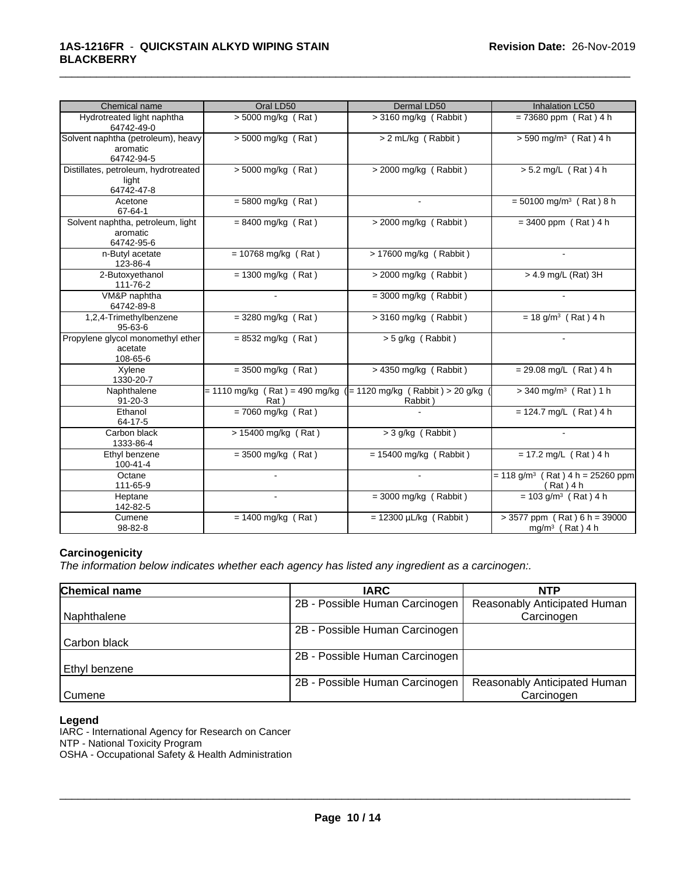| Chemical name                                                | Oral LD50                                                                | Dermal LD50                 | Inhalation LC50                                               |
|--------------------------------------------------------------|--------------------------------------------------------------------------|-----------------------------|---------------------------------------------------------------|
| Hydrotreated light naphtha<br>64742-49-0                     | > 5000 mg/kg (Rat)                                                       | $>$ 3160 mg/kg (Rabbit)     | $= 73680$ ppm (Rat) 4 h                                       |
| Solvent naphtha (petroleum), heavy<br>aromatic<br>64742-94-5 | $> 5000$ mg/kg (Rat)                                                     | > 2 mL/kg (Rabbit)          | $> 590$ mg/m <sup>3</sup> (Rat) 4 h                           |
| Distillates, petroleum, hydrotreated<br>light<br>64742-47-8  | > 5000 mg/kg (Rat)                                                       | $>$ 2000 mg/kg (Rabbit)     | $> 5.2$ mg/L (Rat) 4 h                                        |
| Acetone<br>$67 - 64 - 1$                                     | $= 5800$ mg/kg $(Rat)$                                                   |                             | $= 50100$ mg/m <sup>3</sup> (Rat) 8 h                         |
| Solvent naphtha, petroleum, light<br>aromatic<br>64742-95-6  | $= 8400$ mg/kg (Rat)                                                     | $>$ 2000 mg/kg (Rabbit)     | $= 3400$ ppm (Rat) 4 h                                        |
| n-Butyl acetate<br>123-86-4                                  | $= 10768$ mg/kg (Rat)                                                    | $> 17600$ mg/kg (Rabbit)    | $\sim$                                                        |
| 2-Butoxyethanol<br>111-76-2                                  | $= 1300$ mg/kg (Rat)                                                     | $>$ 2000 mg/kg (Rabbit)     | > 4.9 mg/L (Rat) 3H                                           |
| VM&P naphtha<br>64742-89-8                                   |                                                                          | $=$ 3000 mg/kg (Rabbit)     |                                                               |
| 1,2,4-Trimethylbenzene<br>$95 - 63 - 6$                      | $=$ 3280 mg/kg (Rat)                                                     | $>$ 3160 mg/kg (Rabbit)     | $= 18$ g/m <sup>3</sup> (Rat) 4 h                             |
| Propylene glycol monomethyl ether<br>acetate<br>108-65-6     | $= 8532$ mg/kg (Rat)                                                     | $> 5$ g/kg (Rabbit)         |                                                               |
| Xylene<br>1330-20-7                                          | $=$ 3500 mg/kg (Rat)                                                     | $> 4350$ mg/kg (Rabbit)     | $= 29.08$ mg/L (Rat) 4 h                                      |
| Naphthalene<br>$91 - 20 - 3$                                 | = 1110 mg/kg (Rat) = 490 mg/kg ( = 1120 mg/kg (Rabbit) > 20 g/kg<br>Rat) | Rabbit)                     | $>$ 340 mg/m <sup>3</sup> (Rat) 1 h                           |
| Ethanol<br>64-17-5                                           | $= 7060$ mg/kg (Rat)                                                     |                             | $= 124.7$ mg/L (Rat) 4 h                                      |
| Carbon black<br>1333-86-4                                    | > 15400 mg/kg (Rat)                                                      | $>$ 3 g/kg (Rabbit)         |                                                               |
| Ethyl benzene<br>100-41-4                                    | $=$ 3500 mg/kg (Rat)                                                     | $= 15400$ mg/kg (Rabbit)    | $= 17.2$ mg/L (Rat) 4 h                                       |
| Octane<br>111-65-9                                           |                                                                          |                             | $= 118$ g/m <sup>3</sup> (Rat) 4 h = 25260 ppm<br>(Rat) 4 h   |
| Heptane<br>142-82-5                                          | $\sim$                                                                   | $=$ 3000 mg/kg (Rabbit)     | $= 103$ g/m <sup>3</sup> (Rat) 4 h                            |
| Cumene<br>98-82-8                                            | $= 1400$ mg/kg (Rat)                                                     | $= 12300 \mu L/kg$ (Rabbit) | $> 3577$ ppm (Rat) 6 h = 39000<br>mg/m <sup>3</sup> (Rat) 4 h |

#### **Carcinogenicity**

*The information below indicateswhether each agency has listed any ingredient as a carcinogen:.*

| Chemical name   | <b>IARC</b>                    | <b>NTP</b>                   |
|-----------------|--------------------------------|------------------------------|
|                 | 2B - Possible Human Carcinogen | Reasonably Anticipated Human |
| Naphthalene     |                                | Carcinogen                   |
|                 | 2B - Possible Human Carcinogen |                              |
| Carbon black    |                                |                              |
|                 | 2B - Possible Human Carcinogen |                              |
| l Ethvl benzene |                                |                              |
|                 | 2B - Possible Human Carcinogen | Reasonably Anticipated Human |
| Cumene          |                                | Carcinogen                   |

#### **Legend**

IARC - International Agency for Research on Cancer

NTP - National Toxicity Program

OSHA - Occupational Safety & Health Administration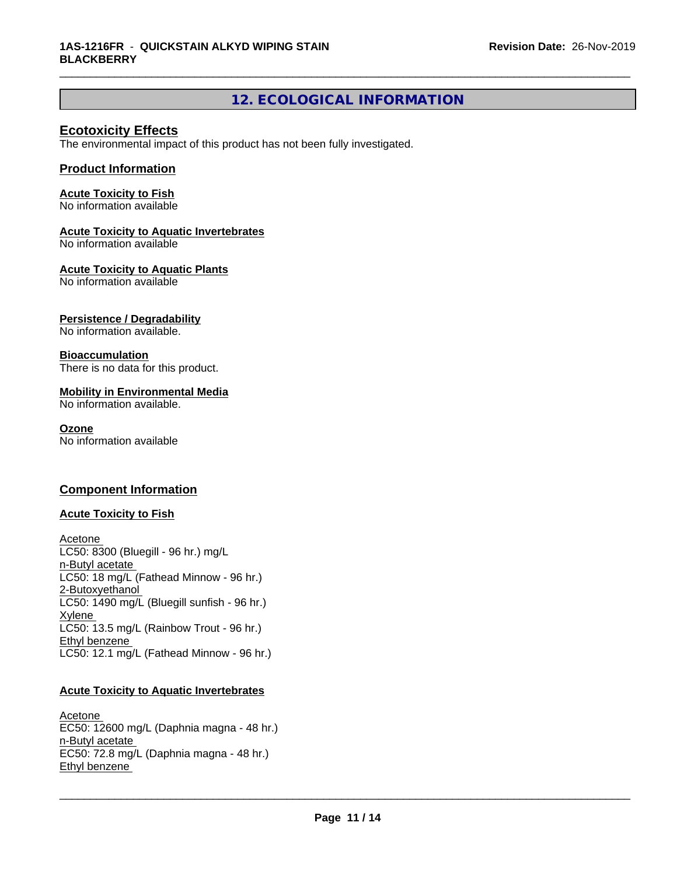# **12. ECOLOGICAL INFORMATION**

\_\_\_\_\_\_\_\_\_\_\_\_\_\_\_\_\_\_\_\_\_\_\_\_\_\_\_\_\_\_\_\_\_\_\_\_\_\_\_\_\_\_\_\_\_\_\_\_\_\_\_\_\_\_\_\_\_\_\_\_\_\_\_\_\_\_\_\_\_\_\_\_\_\_\_\_\_\_\_\_\_\_\_\_\_\_\_\_\_\_\_\_\_

## **Ecotoxicity Effects**

The environmental impact of this product has not been fully investigated.

## **Product Information**

### **Acute Toxicity to Fish**

No information available

## **Acute Toxicity to Aquatic Invertebrates**

No information available

### **Acute Toxicity to Aquatic Plants**

No information available

## **Persistence / Degradability**

No information available.

### **Bioaccumulation**

There is no data for this product.

### **Mobility in Environmental Media**

No information available.

#### **Ozone**

No information available

## **Component Information**

## **Acute Toxicity to Fish**

Acetone LC50: 8300 (Bluegill - 96 hr.) mg/L n-Butyl acetate LC50: 18 mg/L (Fathead Minnow - 96 hr.) 2-Butoxyethanol LC50: 1490 mg/L (Bluegill sunfish - 96 hr.) Xylene LC50: 13.5 mg/L (Rainbow Trout - 96 hr.) Ethyl benzene LC50: 12.1 mg/L (Fathead Minnow - 96 hr.)

## **Acute Toxicity to Aquatic Invertebrates**

Acetone EC50: 12600 mg/L (Daphnia magna - 48 hr.) n-Butyl acetate EC50: 72.8 mg/L (Daphnia magna - 48 hr.) Ethyl benzene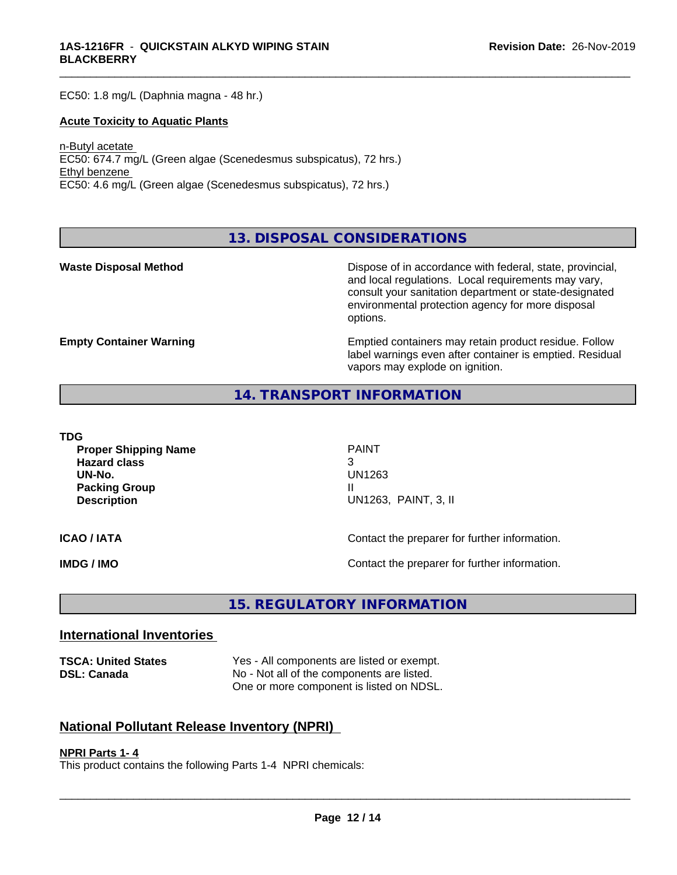EC50: 1.8 mg/L (Daphnia magna - 48 hr.)

#### **Acute Toxicity to Aquatic Plants**

n-Butyl acetate EC50: 674.7 mg/L (Green algae (Scenedesmus subspicatus), 72 hrs.) Ethyl benzene EC50: 4.6 mg/L (Green algae (Scenedesmus subspicatus), 72 hrs.)

**13. DISPOSAL CONSIDERATIONS**

**Waste Disposal Method Dispose of in accordance with federal, state, provincial,** and local regulations. Local requirements may vary, consult your sanitation department or state-designated environmental protection agency for more disposal options.

**Empty Container Warning <b>Emptied** Containers may retain product residue. Follow label warnings even after container is emptied. Residual vapors may explode on ignition.

### **14. TRANSPORT INFORMATION**

**TDG**

**Proper Shipping Name** PAINT **Hazard class** 3 **UN-No.** UN1263 **Packing Group III Description** UN1263, PAINT, 3, II

\_\_\_\_\_\_\_\_\_\_\_\_\_\_\_\_\_\_\_\_\_\_\_\_\_\_\_\_\_\_\_\_\_\_\_\_\_\_\_\_\_\_\_\_\_\_\_\_\_\_\_\_\_\_\_\_\_\_\_\_\_\_\_\_\_\_\_\_\_\_\_\_\_\_\_\_\_\_\_\_\_\_\_\_\_\_\_\_\_\_\_\_\_

**ICAO / IATA ICAO / IATA Contact the preparer for further information.** 

**IMDG / IMO Contact the preparer for further information.** 

# **15. REGULATORY INFORMATION**

## **International Inventories**

**TSCA: United States** Yes - All components are listed or exempt. **DSL: Canada** No - Not all of the components are listed. One or more component is listed on NDSL.

## **National Pollutant Release Inventory (NPRI)**

#### **NPRI Parts 1- 4**

This product contains the following Parts 1-4 NPRI chemicals: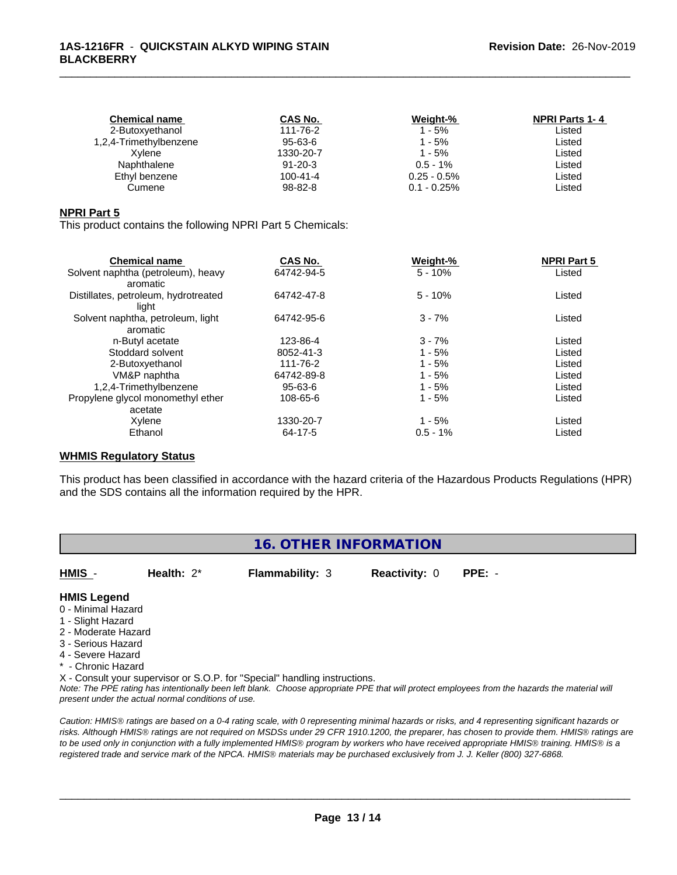| <b>Chemical name</b>   | CAS No.       | Weight-%       | <b>NPRI Parts 1-4</b> |
|------------------------|---------------|----------------|-----------------------|
| 2-Butoxyethanol        | 111-76-2      | $1 - 5%$       | Listed                |
| 1,2,4-Trimethylbenzene | 95-63-6       | 1 - 5%         | Listed                |
| Xvlene                 | 1330-20-7     | $1 - 5%$       | Listed                |
| Naphthalene            | $91 - 20 - 3$ | $0.5 - 1\%$    | Listed                |
| Ethyl benzene          | 100-41-4      | $0.25 - 0.5\%$ | ∟isted                |
| Cumene                 | 98-82-8       | $0.1 - 0.25\%$ | ∟isted                |
|                        |               |                |                       |

#### **NPRI Part 5**

This product contains the following NPRI Part 5 Chemicals:

| <b>Chemical name</b>                 | CAS No.    | Weight-%    | <b>NPRI Part 5</b> |  |
|--------------------------------------|------------|-------------|--------------------|--|
| Solvent naphtha (petroleum), heavy   | 64742-94-5 | $5 - 10%$   | Listed             |  |
| aromatic                             |            |             |                    |  |
| Distillates, petroleum, hydrotreated | 64742-47-8 | $5 - 10%$   | Listed             |  |
| light                                |            |             |                    |  |
| Solvent naphtha, petroleum, light    | 64742-95-6 | $3 - 7%$    | Listed             |  |
| aromatic                             |            |             |                    |  |
| n-Butyl acetate                      | 123-86-4   | $3 - 7%$    | Listed             |  |
| Stoddard solvent                     | 8052-41-3  | $1 - 5%$    | Listed             |  |
| 2-Butoxyethanol                      | 111-76-2   | $1 - 5%$    | Listed             |  |
| VM&P naphtha                         | 64742-89-8 | $1 - 5%$    | Listed             |  |
| 1,2,4-Trimethylbenzene               | 95-63-6    | $1 - 5%$    | Listed             |  |
| Propylene glycol monomethyl ether    | 108-65-6   | $1 - 5%$    | Listed             |  |
| acetate                              |            |             |                    |  |
| Xylene                               | 1330-20-7  | $1 - 5%$    | Listed             |  |
| Ethanol                              | 64-17-5    | $0.5 - 1\%$ | Listed             |  |

#### **WHMIS Regulatory Status**

This product has been classified in accordance with the hazard criteria of the Hazardous Products Regulations (HPR) and the SDS contains all the information required by the HPR.

## **16. OTHER INFORMATION**

**HMIS** - **Health:** 2\* **Flammability:** 3 **Reactivity:** 0 **PPE:** -

# **HMIS Legend**

- 0 Minimal Hazard
- 1 Slight Hazard
- 2 Moderate Hazard
- 3 Serious Hazard
- 4 Severe Hazard
- \* Chronic Hazard
- X Consult your supervisor or S.O.P. for "Special" handling instructions.

*Note: The PPE rating has intentionally been left blank. Choose appropriate PPE that will protect employees from the hazards the material will present under the actual normal conditions of use.*

*Caution: HMISÒ ratings are based on a 0-4 rating scale, with 0 representing minimal hazards or risks, and 4 representing significant hazards or risks. Although HMISÒ ratings are not required on MSDSs under 29 CFR 1910.1200, the preparer, has chosen to provide them. HMISÒ ratings are to be used only in conjunction with a fully implemented HMISÒ program by workers who have received appropriate HMISÒ training. HMISÒ is a registered trade and service mark of the NPCA. HMISÒ materials may be purchased exclusively from J. J. Keller (800) 327-6868.*